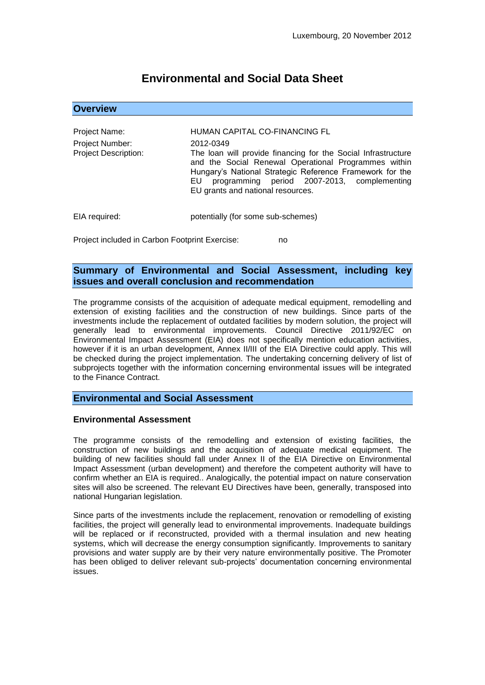# **Environmental and Social Data Sheet**

**Overview**

| Project Name:                                  | HUMAN CAPITAL CO-FINANCING FL                                                                                                                                                                                                                                                             |
|------------------------------------------------|-------------------------------------------------------------------------------------------------------------------------------------------------------------------------------------------------------------------------------------------------------------------------------------------|
| Project Number:<br><b>Project Description:</b> | 2012-0349<br>The loan will provide financing for the Social Infrastructure<br>and the Social Renewal Operational Programmes within<br>Hungary's National Strategic Reference Framework for the<br>programming period 2007-2013, complementing<br>EU.<br>EU grants and national resources. |
| EIA required:                                  | potentially (for some sub-schemes)                                                                                                                                                                                                                                                        |

Project included in Carbon Footprint Exercise: no

## **Summary of Environmental and Social Assessment, including key issues and overall conclusion and recommendation**

The programme consists of the acquisition of adequate medical equipment, remodelling and extension of existing facilities and the construction of new buildings. Since parts of the investments include the replacement of outdated facilities by modern solution, the project will generally lead to environmental improvements. Council Directive 2011/92/EC on Environmental Impact Assessment (EIA) does not specifically mention education activities, however if it is an urban development, Annex II/III of the EIA Directive could apply. This will be checked during the project implementation. The undertaking concerning delivery of list of subprojects together with the information concerning environmental issues will be integrated to the Finance Contract.

### **Environmental and Social Assessment**

### **Environmental Assessment**

The programme consists of the remodelling and extension of existing facilities, the construction of new buildings and the acquisition of adequate medical equipment. The building of new facilities should fall under Annex II of the EIA Directive on Environmental Impact Assessment (urban development) and therefore the competent authority will have to confirm whether an EIA is required.. Analogically, the potential impact on nature conservation sites will also be screened. The relevant EU Directives have been, generally, transposed into national Hungarian legislation.

Since parts of the investments include the replacement, renovation or remodelling of existing facilities, the project will generally lead to environmental improvements. Inadequate buildings will be replaced or if reconstructed, provided with a thermal insulation and new heating systems, which will decrease the energy consumption significantly. Improvements to sanitary provisions and water supply are by their very nature environmentally positive. The Promoter has been obliged to deliver relevant sub-projects' documentation concerning environmental issues.